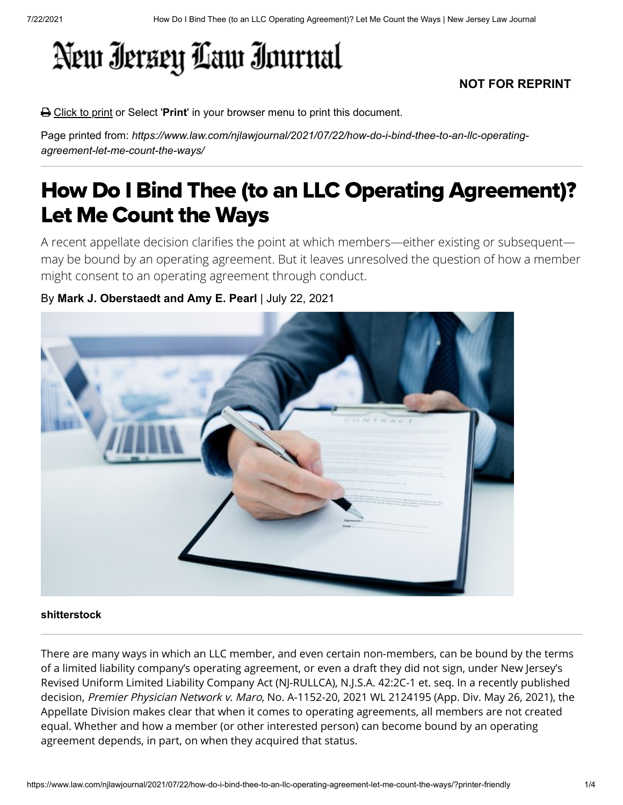# New Iersey Law Inurnal

### **NOT FOR REPRINT**

Click to print or Select '**Print**' in your browser menu to print this document.

Page printed from: *https://www.law.com/njlawjournal/2021/07/22/how-do-i-bind-thee-to-an-llc-operatingagreement-let-me-count-the-ways/*

## How Do I Bind Thee (to an LLC Operating Agreement)? Let Me Count the Ways

A recent appellate decision clarifies the point at which members—either existing or subsequent may be bound by an operating agreement. But it leaves unresolved the question of how a member might consent to an operating agreement through conduct.

### By **Mark J. Oberstaedt and Amy E. Pearl** | July 22, 2021



#### **shitterstock**

There are many ways in which an LLC member, and even certain non-members, can be bound by the terms of a limited liability company's operating agreement, or even a draft they did not sign, under New Jersey's Revised Uniform Limited Liability Company Act (NJ-RULLCA), N.J.S.A. 42:2C-1 et. seq. In a recently published decision, Premier Physician Network v. Maro, No. A-1152-20, 2021 WL 2124195 (App. Div. May 26, 2021), the Appellate Division makes clear that when it comes to operating agreements, all members are not created equal. Whether and how a member (or other interested person) can become bound by an operating agreement depends, in part, on when they acquired that status.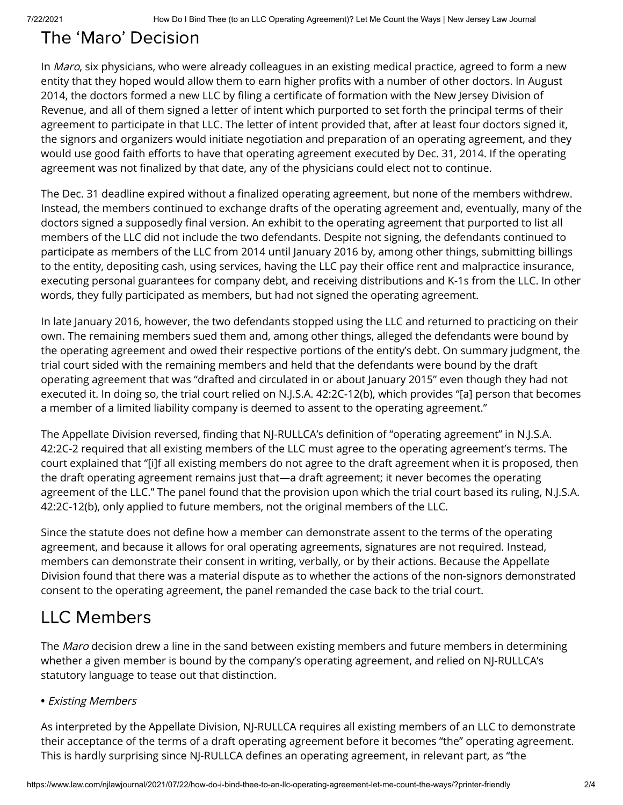### The 'Maro' Decision

In Maro, six physicians, who were already colleagues in an existing medical practice, agreed to form a new entity that they hoped would allow them to earn higher profits with a number of other doctors. In August 2014, the doctors formed a new LLC by filing a certificate of formation with the New Jersey Division of Revenue, and all of them signed a letter of intent which purported to set forth the principal terms of their agreement to participate in that LLC. The letter of intent provided that, after at least four doctors signed it, the signors and organizers would initiate negotiation and preparation of an operating agreement, and they would use good faith efforts to have that operating agreement executed by Dec. 31, 2014. If the operating agreement was not finalized by that date, any of the physicians could elect not to continue.

The Dec. 31 deadline expired without a finalized operating agreement, but none of the members withdrew. Instead, the members continued to exchange drafts of the operating agreement and, eventually, many of the doctors signed a supposedly final version. An exhibit to the operating agreement that purported to list all members of the LLC did not include the two defendants. Despite not signing, the defendants continued to participate as members of the LLC from 2014 until January 2016 by, among other things, submitting billings to the entity, depositing cash, using services, having the LLC pay their office rent and malpractice insurance, executing personal guarantees for company debt, and receiving distributions and K-1s from the LLC. In other words, they fully participated as members, but had not signed the operating agreement.

In late January 2016, however, the two defendants stopped using the LLC and returned to practicing on their own. The remaining members sued them and, among other things, alleged the defendants were bound by the operating agreement and owed their respective portions of the entity's debt. On summary judgment, the trial court sided with the remaining members and held that the defendants were bound by the draft operating agreement that was "drafted and circulated in or about January 2015" even though they had not executed it. In doing so, the trial court relied on N.J.S.A. 42:2C-12(b), which provides "[a] person that becomes a member of a limited liability company is deemed to assent to the operating agreement."

The Appellate Division reversed, finding that NJ-RULLCA's definition of "operating agreement" in N.J.S.A. 42:2C-2 required that all existing members of the LLC must agree to the operating agreement's terms. The court explained that "[i]f all existing members do not agree to the draft agreement when it is proposed, then the draft operating agreement remains just that—a draft agreement; it never becomes the operating agreement of the LLC." The panel found that the provision upon which the trial court based its ruling, N.J.S.A. 42:2C-12(b), only applied to future members, not the original members of the LLC.

Since the statute does not define how a member can demonstrate assent to the terms of the operating agreement, and because it allows for oral operating agreements, signatures are not required. Instead, members can demonstrate their consent in writing, verbally, or by their actions. Because the Appellate Division found that there was a material dispute as to whether the actions of the non-signors demonstrated consent to the operating agreement, the panel remanded the case back to the trial court.

### LLC Members

The *Maro* decision drew a line in the sand between existing members and future members in determining whether a given member is bound by the company's operating agreement, and relied on NJ-RULLCA's statutory language to tease out that distinction.

#### **•** Existing Members

As interpreted by the Appellate Division, NJ-RULLCA requires all existing members of an LLC to demonstrate their acceptance of the terms of a draft operating agreement before it becomes "the" operating agreement. This is hardly surprising since NJ-RULLCA defines an operating agreement, in relevant part, as "the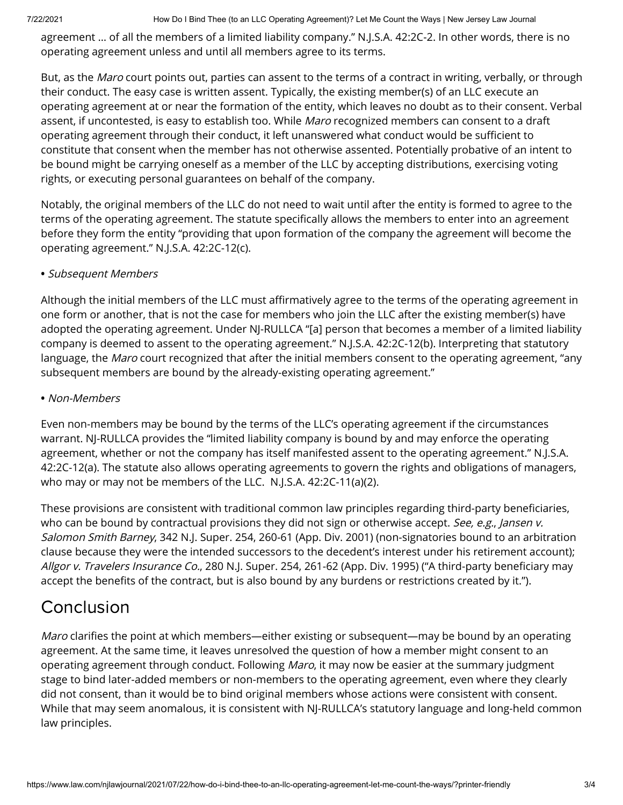7/22/2021 How Do I Bind Thee (to an LLC Operating Agreement)? Let Me Count the Ways | New Jersey Law Journal

agreement … of all the members of a limited liability company." N.J.S.A. 42:2C-2. In other words, there is no operating agreement unless and until all members agree to its terms.

But, as the Maro court points out, parties can assent to the terms of a contract in writing, verbally, or through their conduct. The easy case is written assent. Typically, the existing member(s) of an LLC execute an operating agreement at or near the formation of the entity, which leaves no doubt as to their consent. Verbal assent, if uncontested, is easy to establish too. While Maro recognized members can consent to a draft operating agreement through their conduct, it left unanswered what conduct would be sufficient to constitute that consent when the member has not otherwise assented. Potentially probative of an intent to be bound might be carrying oneself as a member of the LLC by accepting distributions, exercising voting rights, or executing personal guarantees on behalf of the company.

Notably, the original members of the LLC do not need to wait until after the entity is formed to agree to the terms of the operating agreement. The statute specifically allows the members to enter into an agreement before they form the entity "providing that upon formation of the company the agreement will become the operating agreement." N.J.S.A. 42:2C-12(c).

### **•** Subsequent Members

Although the initial members of the LLC must affirmatively agree to the terms of the operating agreement in one form or another, that is not the case for members who join the LLC after the existing member(s) have adopted the operating agreement. Under NJ-RULLCA "[a] person that becomes a member of a limited liability company is deemed to assent to the operating agreement." N.J.S.A. 42:2C-12(b). Interpreting that statutory language, the *Maro* court recognized that after the initial members consent to the operating agreement, "any subsequent members are bound by the already-existing operating agreement."

#### **•** Non-Members

Even non-members may be bound by the terms of the LLC's operating agreement if the circumstances warrant. NJ-RULLCA provides the "limited liability company is bound by and may enforce the operating agreement, whether or not the company has itself manifested assent to the operating agreement." N.J.S.A. 42:2C-12(a). The statute also allows operating agreements to govern the rights and obligations of managers, who may or may not be members of the LLC. N.J.S.A. 42:2C-11(a)(2).

These provisions are consistent with traditional common law principles regarding third-party beneficiaries, who can be bound by contractual provisions they did not sign or otherwise accept. See, e.g., Jansen v. Salomon Smith Barney, 342 N.J. Super. 254, 260-61 (App. Div. 2001) (non-signatories bound to an arbitration clause because they were the intended successors to the decedent's interest under his retirement account); Allgor v. Travelers Insurance Co., 280 N.J. Super. 254, 261-62 (App. Div. 1995) ("A third-party beneficiary may accept the benefits of the contract, but is also bound by any burdens or restrictions created by it.").

### Conclusion

Maro clarifies the point at which members—either existing or subsequent—may be bound by an operating agreement. At the same time, it leaves unresolved the question of how a member might consent to an operating agreement through conduct. Following Maro, it may now be easier at the summary judgment stage to bind later-added members or non-members to the operating agreement, even where they clearly did not consent, than it would be to bind original members whose actions were consistent with consent. While that may seem anomalous, it is consistent with NJ-RULLCA's statutory language and long-held common law principles.